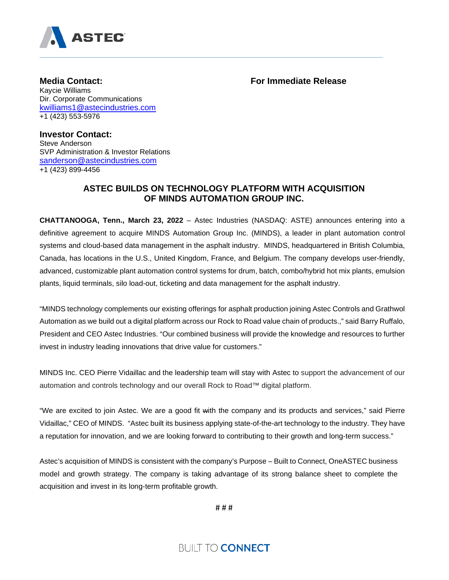

**Media Contact: For Immediate Release**

Kaycie Williams Dir. Corporate Communications [kwilliams1@astecindustries.com](mailto:kwilliams1@astecindustries.com) +1 (423) 553-5976

**Investor Contact:**  Steve Anderson SVP Administration & Investor Relations [sanderson@astecindustries.com](mailto:sanderson@astecindustries.com) +1 (423) 899-4456

## **ASTEC BUILDS ON TECHNOLOGY PLATFORM WITH ACQUISITION OF MINDS AUTOMATION GROUP INC.**

**CHATTANOOGA, Tenn., March 23, 2022** – Astec Industries (NASDAQ: ASTE) announces entering into a definitive agreement to acquire MINDS Automation Group Inc. (MINDS), a leader in plant automation control systems and cloud-based data management in the asphalt industry. MINDS, headquartered in British Columbia, Canada, has locations in the U.S., United Kingdom, France, and Belgium. The company develops user-friendly, advanced, customizable plant automation control systems for drum, batch, combo/hybrid hot mix plants, emulsion plants, liquid terminals, silo load-out, ticketing and data management for the asphalt industry.

"MINDS technology complements our existing offerings for asphalt production joining Astec Controls and Grathwol Automation as we build out a digital platform across our Rock to Road value chain of products.," said Barry Ruffalo, President and CEO Astec Industries. "Our combined business will provide the knowledge and resources to further invest in industry leading innovations that drive value for customers."

MINDS Inc. CEO Pierre Vidaillac and the leadership team will stay with Astec to support the advancement of our automation and controls technology and our overall Rock to Road™ digital platform.

"We are excited to join Astec. We are a good fit with the company and its products and services," said Pierre Vidaillac," CEO of MINDS. "Astec built its business applying state-of-the-art technology to the industry. They have a reputation for innovation, and we are looking forward to contributing to their growth and long-term success."

Astec's acquisition of MINDS is consistent with the company's Purpose – Built to Connect, OneASTEC business model and growth strategy. The company is taking advantage of its strong balance sheet to complete the acquisition and invest in its long-term profitable growth.

# # #

**BUILT TO CONNECT**